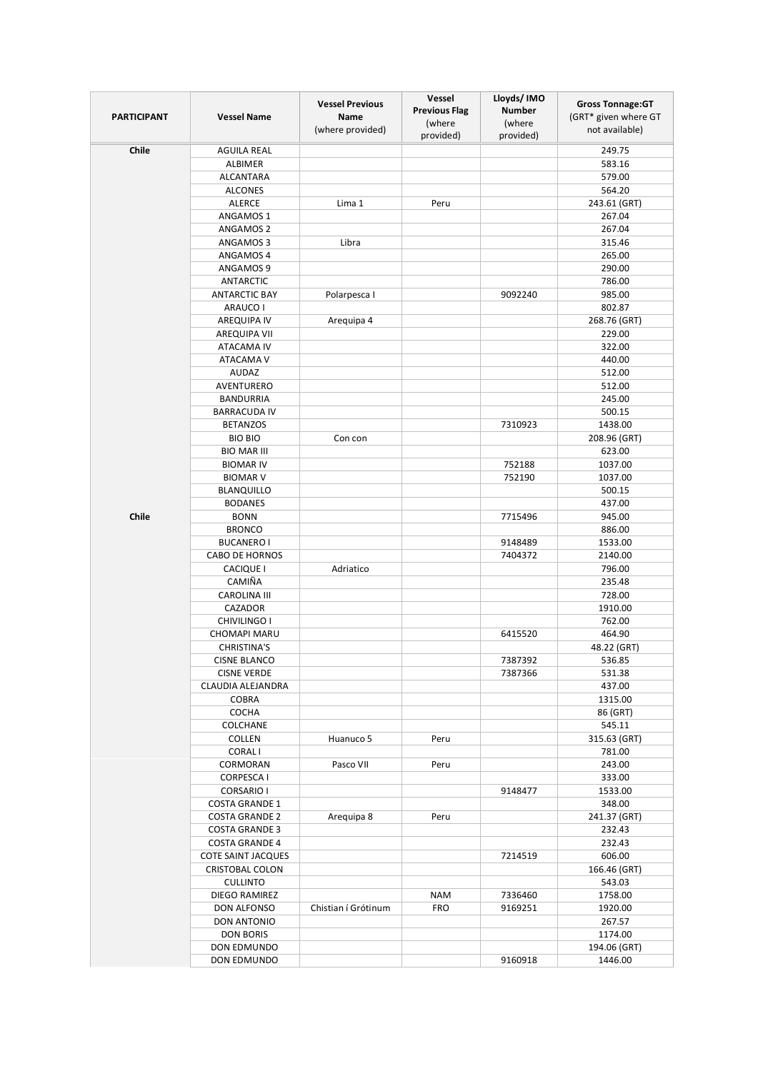| <b>PARTICIPANT</b> | <b>Vessel Name</b>                      | <b>Vessel Previous</b><br><b>Name</b> | Vessel<br><b>Previous Flag</b><br>(where | Lloyds/IMO<br><b>Number</b><br>(where | <b>Gross Tonnage:GT</b><br>(GRT* given where GT |
|--------------------|-----------------------------------------|---------------------------------------|------------------------------------------|---------------------------------------|-------------------------------------------------|
|                    |                                         | (where provided)                      | provided)                                | provided)                             | not available)                                  |
| Chile              | <b>AGUILA REAL</b>                      |                                       |                                          |                                       | 249.75                                          |
|                    | ALBIMER                                 |                                       |                                          |                                       | 583.16                                          |
|                    | <b>ALCANTARA</b>                        |                                       |                                          |                                       | 579.00                                          |
|                    | <b>ALCONES</b>                          |                                       |                                          |                                       | 564.20                                          |
|                    | <b>ALERCE</b>                           | Lima 1                                | Peru                                     |                                       | 243.61 (GRT)                                    |
|                    | ANGAMOS 1                               |                                       |                                          |                                       | 267.04                                          |
|                    | ANGAMOS 2                               |                                       |                                          |                                       | 267.04                                          |
|                    | ANGAMOS 3                               | Libra                                 |                                          |                                       | 315.46                                          |
|                    | ANGAMOS 4                               |                                       |                                          |                                       | 265.00                                          |
|                    | ANGAMOS 9                               |                                       |                                          |                                       | 290.00                                          |
|                    | ANTARCTIC                               |                                       |                                          |                                       | 786.00                                          |
|                    | <b>ANTARCTIC BAY</b>                    | Polarpesca I                          |                                          | 9092240                               | 985.00                                          |
|                    | ARAUCO I                                |                                       |                                          |                                       | 802.87                                          |
|                    | <b>AREQUIPA IV</b>                      | Arequipa 4                            |                                          |                                       | 268.76 (GRT)                                    |
|                    | <b>AREQUIPA VII</b>                     |                                       |                                          |                                       | 229.00                                          |
|                    | ATACAMA IV<br>ATACAMA V                 |                                       |                                          |                                       | 322.00<br>440.00                                |
|                    | <b>AUDAZ</b>                            |                                       |                                          |                                       | 512.00                                          |
|                    | AVENTURERO                              |                                       |                                          |                                       | 512.00                                          |
|                    | <b>BANDURRIA</b>                        |                                       |                                          |                                       | 245.00                                          |
|                    | <b>BARRACUDA IV</b>                     |                                       |                                          |                                       | 500.15                                          |
|                    | <b>BETANZOS</b>                         |                                       |                                          | 7310923                               | 1438.00                                         |
|                    | <b>BIO BIO</b>                          | Con con                               |                                          |                                       | 208.96 (GRT)                                    |
|                    | <b>BIO MAR III</b>                      |                                       |                                          |                                       | 623.00                                          |
|                    | <b>BIOMAR IV</b>                        |                                       |                                          | 752188                                | 1037.00                                         |
|                    | <b>BIOMAR V</b>                         |                                       |                                          | 752190                                | 1037.00                                         |
|                    | <b>BLANQUILLO</b>                       |                                       |                                          |                                       | 500.15                                          |
|                    | <b>BODANES</b>                          |                                       |                                          |                                       | 437.00                                          |
| Chile              | <b>BONN</b>                             |                                       |                                          | 7715496                               | 945.00                                          |
|                    | <b>BRONCO</b>                           |                                       |                                          |                                       | 886.00                                          |
|                    | <b>BUCANERO I</b>                       |                                       |                                          | 9148489                               | 1533.00                                         |
|                    | <b>CABO DE HORNOS</b>                   |                                       |                                          | 7404372                               | 2140.00                                         |
|                    | <b>CACIQUE I</b>                        | Adriatico                             |                                          |                                       | 796.00                                          |
|                    | <b>CAMIÑA</b>                           |                                       |                                          |                                       | 235.48                                          |
|                    | <b>CAROLINA III</b>                     |                                       |                                          |                                       | 728.00                                          |
|                    | CAZADOR                                 |                                       |                                          |                                       | 1910.00                                         |
|                    | CHIVILINGO I                            |                                       |                                          |                                       | 762.00                                          |
|                    | <b>CHOMAPI MARU</b>                     |                                       |                                          | 6415520                               | 464.90                                          |
|                    | <b>CHRISTINA'S</b>                      |                                       |                                          |                                       | 48.22 (GRT)                                     |
|                    | <b>CISNE BLANCO</b>                     |                                       |                                          | 7387392                               | 536.85                                          |
|                    | <b>CISNE VERDE</b><br>CLAUDIA ALEJANDRA |                                       |                                          | 7387366                               | 531.38<br>437.00                                |
|                    | COBRA                                   |                                       |                                          |                                       | 1315.00                                         |
|                    | COCHA                                   |                                       |                                          |                                       | 86 (GRT)                                        |
|                    | COLCHANE                                |                                       |                                          |                                       | 545.11                                          |
|                    | COLLEN                                  | Huanuco 5                             | Peru                                     |                                       | 315.63 (GRT)                                    |
|                    | <b>CORALI</b>                           |                                       |                                          |                                       | 781.00                                          |
|                    | CORMORAN                                | Pasco VII                             | Peru                                     |                                       | 243.00                                          |
|                    | <b>CORPESCA I</b>                       |                                       |                                          |                                       | 333.00                                          |
|                    | <b>CORSARIO I</b>                       |                                       |                                          | 9148477                               | 1533.00                                         |
|                    | <b>COSTA GRANDE 1</b>                   |                                       |                                          |                                       | 348.00                                          |
|                    | <b>COSTA GRANDE 2</b>                   | Arequipa 8                            | Peru                                     |                                       | 241.37 (GRT)                                    |
|                    | <b>COSTA GRANDE 3</b>                   |                                       |                                          |                                       | 232.43                                          |
|                    | <b>COSTA GRANDE 4</b>                   |                                       |                                          |                                       | 232.43                                          |
|                    | <b>COTE SAINT JACQUES</b>               |                                       |                                          | 7214519                               | 606.00                                          |
|                    | CRISTOBAL COLON                         |                                       |                                          |                                       | 166.46 (GRT)                                    |
|                    | <b>CULLINTO</b>                         |                                       |                                          |                                       | 543.03                                          |
|                    | DIEGO RAMIREZ                           |                                       | <b>NAM</b>                               | 7336460                               | 1758.00                                         |
|                    | DON ALFONSO                             | Chistian í Grótinum                   | <b>FRO</b>                               | 9169251                               | 1920.00                                         |
|                    | DON ANTONIO                             |                                       |                                          |                                       | 267.57                                          |
|                    | <b>DON BORIS</b>                        |                                       |                                          |                                       | 1174.00                                         |
|                    | DON EDMUNDO                             |                                       |                                          |                                       | 194.06 (GRT)                                    |
|                    | DON EDMUNDO                             |                                       |                                          | 9160918                               | 1446.00                                         |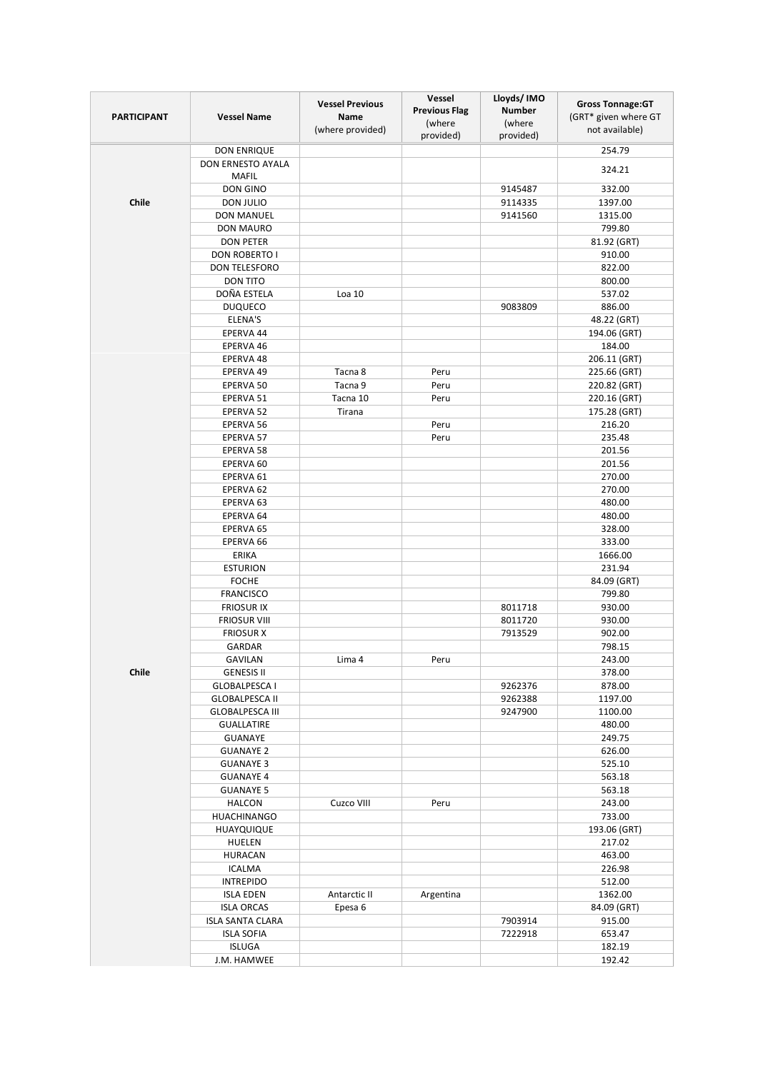| <b>PARTICIPANT</b> | <b>Vessel Name</b>                 | <b>Vessel Previous</b><br>Name<br>(where provided) | Vessel<br><b>Previous Flag</b><br>(where | Lloyds/IMO<br><b>Number</b><br>(where | <b>Gross Tonnage:GT</b><br>(GRT* given where GT |
|--------------------|------------------------------------|----------------------------------------------------|------------------------------------------|---------------------------------------|-------------------------------------------------|
|                    |                                    |                                                    | provided)                                | provided)                             | not available)                                  |
| Chile              | <b>DON ENRIQUE</b>                 |                                                    |                                          |                                       | 254.79                                          |
|                    | DON ERNESTO AYALA<br><b>MAFIL</b>  |                                                    |                                          |                                       | 324.21                                          |
|                    | <b>DON GINO</b>                    |                                                    |                                          | 9145487                               | 332.00                                          |
|                    | DON JULIO                          |                                                    |                                          | 9114335                               | 1397.00                                         |
|                    | DON MANUEL                         |                                                    |                                          | 9141560                               | 1315.00                                         |
|                    | <b>DON MAURO</b>                   |                                                    |                                          |                                       | 799.80                                          |
|                    | <b>DON PETER</b>                   |                                                    |                                          |                                       | 81.92 (GRT)                                     |
|                    | DON ROBERTO I                      |                                                    |                                          |                                       | 910.00                                          |
|                    | DON TELESFORO                      |                                                    |                                          |                                       | 822.00                                          |
|                    | <b>DON TITO</b>                    |                                                    |                                          |                                       | 800.00                                          |
|                    | DOÑA ESTELA                        | Loa 10                                             |                                          | 9083809                               | 537.02<br>886.00                                |
|                    | <b>DUQUECO</b><br><b>ELENA'S</b>   |                                                    |                                          |                                       | 48.22 (GRT)                                     |
|                    | EPERVA 44                          |                                                    |                                          |                                       | 194.06 (GRT)                                    |
|                    | EPERVA 46                          |                                                    |                                          |                                       | 184.00                                          |
|                    | EPERVA 48                          |                                                    |                                          |                                       | 206.11 (GRT)                                    |
|                    | EPERVA 49                          | Tacna <sub>8</sub>                                 | Peru                                     |                                       | 225.66 (GRT)                                    |
|                    | EPERVA 50                          | Tacna 9                                            | Peru                                     |                                       | 220.82 (GRT)                                    |
|                    | EPERVA 51                          | Tacna 10                                           | Peru                                     |                                       | 220.16 (GRT)                                    |
|                    | EPERVA 52                          | Tirana                                             |                                          |                                       | 175.28 (GRT)                                    |
|                    | EPERVA 56                          |                                                    | Peru                                     |                                       | 216.20                                          |
|                    | EPERVA 57                          |                                                    | Peru                                     |                                       | 235.48                                          |
|                    | EPERVA 58                          |                                                    |                                          |                                       | 201.56                                          |
|                    | EPERVA 60                          |                                                    |                                          |                                       | 201.56                                          |
|                    | EPERVA 61                          |                                                    |                                          |                                       | 270.00                                          |
|                    | EPERVA 62                          |                                                    |                                          |                                       | 270.00                                          |
|                    | EPERVA 63                          |                                                    |                                          |                                       | 480.00                                          |
|                    | EPERVA 64                          |                                                    |                                          |                                       | 480.00                                          |
|                    | EPERVA 65<br>EPERVA 66             |                                                    |                                          |                                       | 328.00<br>333.00                                |
|                    | <b>ERIKA</b>                       |                                                    |                                          |                                       | 1666.00                                         |
|                    | <b>ESTURION</b>                    |                                                    |                                          |                                       | 231.94                                          |
|                    | <b>FOCHE</b>                       |                                                    |                                          |                                       | 84.09 (GRT)                                     |
|                    | <b>FRANCISCO</b>                   |                                                    |                                          |                                       | 799.80                                          |
|                    | <b>FRIOSUR IX</b>                  |                                                    |                                          | 8011718                               | 930.00                                          |
|                    | <b>FRIOSUR VIII</b>                |                                                    |                                          | 8011720                               | 930.00                                          |
|                    | <b>FRIOSUR X</b>                   |                                                    |                                          | 7913529                               | 902.00                                          |
|                    | GARDAR                             |                                                    |                                          |                                       | 798.15                                          |
|                    | GAVILAN                            | Lima 4                                             | Peru                                     |                                       | 243.00                                          |
| Chile              | <b>GENESIS II</b>                  |                                                    |                                          |                                       | 378.00                                          |
|                    | <b>GLOBALPESCA I</b>               |                                                    |                                          | 9262376                               | 878.00                                          |
|                    | <b>GLOBALPESCA II</b>              |                                                    |                                          | 9262388                               | 1197.00                                         |
|                    | <b>GLOBALPESCA III</b>             |                                                    |                                          | 9247900                               | 1100.00                                         |
|                    | <b>GUALLATIRE</b>                  |                                                    |                                          |                                       | 480.00                                          |
|                    | <b>GUANAYE</b><br><b>GUANAYE 2</b> |                                                    |                                          |                                       | 249.75<br>626.00                                |
|                    | <b>GUANAYE 3</b>                   |                                                    |                                          |                                       | 525.10                                          |
|                    | <b>GUANAYE 4</b>                   |                                                    |                                          |                                       | 563.18                                          |
|                    | <b>GUANAYE 5</b>                   |                                                    |                                          |                                       | 563.18                                          |
|                    | <b>HALCON</b>                      | Cuzco VIII                                         | Peru                                     |                                       | 243.00                                          |
|                    | <b>HUACHINANGO</b>                 |                                                    |                                          |                                       | 733.00                                          |
|                    | HUAYQUIQUE                         |                                                    |                                          |                                       | 193.06 (GRT)                                    |
|                    | <b>HUELEN</b>                      |                                                    |                                          |                                       | 217.02                                          |
|                    | <b>HURACAN</b>                     |                                                    |                                          |                                       | 463.00                                          |
|                    | <b>ICALMA</b>                      |                                                    |                                          |                                       | 226.98                                          |
|                    | <b>INTREPIDO</b>                   |                                                    |                                          |                                       | 512.00                                          |
|                    | <b>ISLA EDEN</b>                   | Antarctic II                                       | Argentina                                |                                       | 1362.00                                         |
|                    | <b>ISLA ORCAS</b>                  | Epesa 6                                            |                                          |                                       | 84.09 (GRT)                                     |
|                    | <b>ISLA SANTA CLARA</b>            |                                                    |                                          | 7903914                               | 915.00                                          |
|                    | <b>ISLA SOFIA</b>                  |                                                    |                                          | 7222918                               | 653.47                                          |
|                    | <b>ISLUGA</b>                      |                                                    |                                          |                                       | 182.19                                          |
|                    | J.M. HAMWEE                        |                                                    |                                          |                                       | 192.42                                          |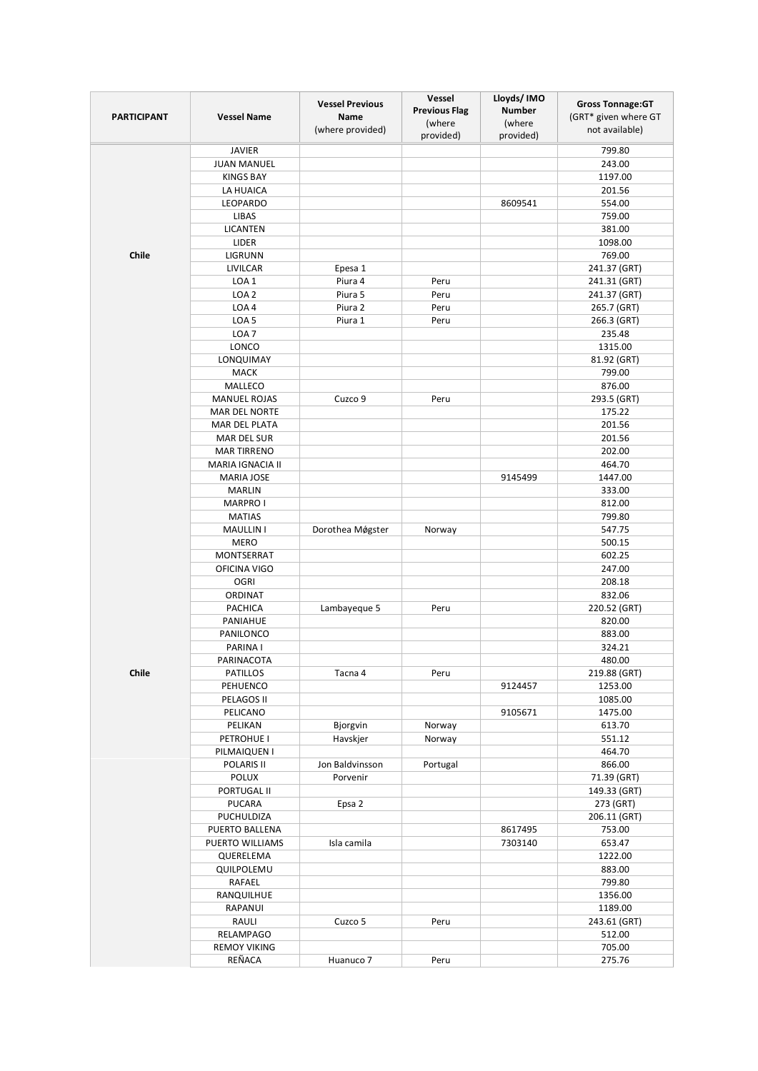|                    |                        | <b>Vessel Previous</b> | Vessel               | Lloyds/IMO          | <b>Gross Tonnage:GT</b> |
|--------------------|------------------------|------------------------|----------------------|---------------------|-------------------------|
| <b>PARTICIPANT</b> | <b>Vessel Name</b>     | Name                   | <b>Previous Flag</b> | <b>Number</b>       | (GRT* given where GT    |
|                    |                        | (where provided)       | (where<br>provided)  | (where<br>provided) | not available)          |
|                    | <b>JAVIER</b>          |                        |                      |                     | 799.80                  |
|                    | <b>JUAN MANUEL</b>     |                        |                      |                     | 243.00                  |
|                    | <b>KINGS BAY</b>       |                        |                      |                     | 1197.00                 |
|                    | LA HUAICA              |                        |                      |                     | 201.56                  |
|                    | LEOPARDO               |                        |                      | 8609541             | 554.00                  |
|                    | LIBAS                  |                        |                      |                     | 759.00                  |
|                    | LICANTEN               |                        |                      |                     | 381.00                  |
|                    | LIDER                  |                        |                      |                     | 1098.00                 |
| Chile              | LIGRUNN                |                        |                      |                     | 769.00                  |
|                    | LIVILCAR               | Epesa 1                |                      |                     | 241.37 (GRT)            |
|                    | LOA <sub>1</sub>       | Piura 4                | Peru                 |                     | 241.31 (GRT)            |
|                    | LOA <sub>2</sub>       | Piura 5                | Peru                 |                     | 241.37 (GRT)            |
|                    | LOA4                   | Piura 2                | Peru                 |                     | 265.7 (GRT)             |
|                    | LOA <sub>5</sub>       | Piura 1                | Peru                 |                     | 266.3 (GRT)             |
|                    | LOA <sub>7</sub>       |                        |                      |                     | 235.48                  |
|                    | LONCO                  |                        |                      |                     | 1315.00                 |
|                    | LONQUIMAY              |                        |                      |                     | 81.92 (GRT)             |
|                    | <b>MACK</b>            |                        |                      |                     | 799.00                  |
|                    | MALLECO                |                        |                      |                     | 876.00                  |
|                    | <b>MANUEL ROJAS</b>    | Cuzco 9                | Peru                 |                     | 293.5 (GRT)             |
|                    | <b>MAR DEL NORTE</b>   |                        |                      |                     | 175.22                  |
|                    | MAR DEL PLATA          |                        |                      |                     | 201.56                  |
|                    | MAR DEL SUR            |                        |                      |                     | 201.56                  |
|                    | <b>MAR TIRRENO</b>     |                        |                      |                     | 202.00                  |
|                    | MARIA IGNACIA II       |                        |                      |                     | 464.70                  |
|                    | <b>MARIA JOSE</b>      |                        |                      | 9145499             | 1447.00                 |
|                    | <b>MARLIN</b>          |                        |                      |                     | 333.00                  |
|                    | <b>MARPRO I</b>        |                        |                      |                     | 812.00                  |
|                    | <b>MATIAS</b>          |                        |                      |                     | 799.80                  |
|                    | <b>MAULLIN I</b>       | Dorothea Møgster       | Norway               |                     | 547.75                  |
|                    | <b>MERO</b>            |                        |                      |                     | 500.15                  |
|                    | MONTSERRAT             |                        |                      |                     | 602.25                  |
|                    | OFICINA VIGO           |                        |                      |                     | 247.00                  |
|                    | <b>OGRI</b>            |                        |                      |                     | 208.18                  |
|                    | ORDINAT                |                        |                      |                     | 832.06                  |
|                    | <b>PACHICA</b>         | Lambayeque 5           | Peru                 |                     | 220.52 (GRT)            |
|                    | PANIAHUE               |                        |                      |                     | 820.00                  |
|                    | PANILONCO              |                        |                      |                     | 883.00                  |
|                    | PARINA I<br>PARINACOTA |                        |                      |                     | 324.21<br>480.00        |
| Chile              |                        | Tacna 4                | Peru                 |                     | 219.88 (GRT)            |
|                    | PATILLOS<br>PEHUENCO   |                        |                      | 9124457             | 1253.00                 |
|                    | PELAGOS II             |                        |                      |                     | 1085.00                 |
|                    | PELICANO               |                        |                      | 9105671             | 1475.00                 |
|                    | PELIKAN                | Bjorgvin               | Norway               |                     | 613.70                  |
|                    | PETROHUE I             | Havskjer               | Norway               |                     | 551.12                  |
|                    | PILMAIQUEN I           |                        |                      |                     | 464.70                  |
|                    | POLARIS II             | Jon Baldvinsson        | Portugal             |                     | 866.00                  |
|                    | <b>POLUX</b>           | Porvenir               |                      |                     | 71.39 (GRT)             |
|                    | PORTUGAL II            |                        |                      |                     | 149.33 (GRT)            |
|                    | PUCARA                 | Epsa 2                 |                      |                     | 273 (GRT)               |
|                    | PUCHULDIZA             |                        |                      |                     | 206.11 (GRT)            |
|                    | PUERTO BALLENA         |                        |                      | 8617495             | 753.00                  |
|                    | PUERTO WILLIAMS        | Isla camila            |                      | 7303140             | 653.47                  |
|                    | QUERELEMA              |                        |                      |                     | 1222.00                 |
|                    | QUILPOLEMU             |                        |                      |                     | 883.00                  |
|                    | RAFAEL                 |                        |                      |                     | 799.80                  |
|                    | RANQUILHUE             |                        |                      |                     | 1356.00                 |
|                    | RAPANUI                |                        |                      |                     | 1189.00                 |
|                    | RAULI                  | Cuzco 5                | Peru                 |                     | 243.61 (GRT)            |
|                    | RELAMPAGO              |                        |                      |                     | 512.00                  |
|                    | <b>REMOY VIKING</b>    |                        |                      |                     | 705.00                  |
|                    | REÑACA                 | Huanuco 7              | Peru                 |                     | 275.76                  |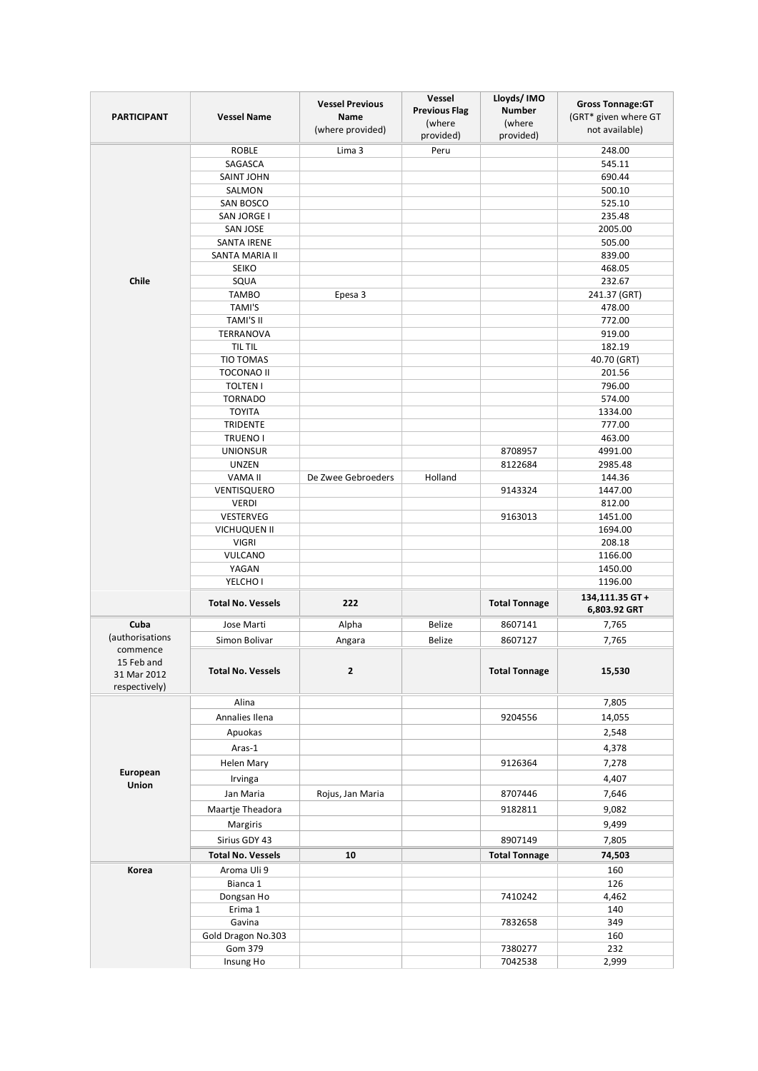| <b>PARTICIPANT</b>                                     | <b>Vessel Name</b>            | <b>Vessel Previous</b><br>Name<br>(where provided) | Vessel<br><b>Previous Flag</b><br>(where<br>provided) | Lloyds/IMO<br><b>Number</b><br>(where<br>provided) | <b>Gross Tonnage:GT</b><br>(GRT* given where GT<br>not available) |
|--------------------------------------------------------|-------------------------------|----------------------------------------------------|-------------------------------------------------------|----------------------------------------------------|-------------------------------------------------------------------|
|                                                        | <b>ROBLE</b>                  | Lima 3                                             | Peru                                                  |                                                    | 248.00                                                            |
|                                                        | SAGASCA                       |                                                    |                                                       |                                                    | 545.11                                                            |
|                                                        | <b>SAINT JOHN</b>             |                                                    |                                                       |                                                    | 690.44                                                            |
|                                                        | SALMON                        |                                                    |                                                       |                                                    | 500.10                                                            |
|                                                        | <b>SAN BOSCO</b>              |                                                    |                                                       |                                                    | 525.10                                                            |
|                                                        | SAN JORGE I                   |                                                    |                                                       |                                                    | 235.48                                                            |
|                                                        | <b>SAN JOSE</b>               |                                                    |                                                       |                                                    | 2005.00                                                           |
|                                                        | <b>SANTA IRENE</b>            |                                                    |                                                       |                                                    | 505.00                                                            |
|                                                        | SANTA MARIA II                |                                                    |                                                       |                                                    | 839.00                                                            |
|                                                        | <b>SEIKO</b>                  |                                                    |                                                       |                                                    | 468.05                                                            |
| Chile                                                  | SQUA                          |                                                    |                                                       |                                                    | 232.67                                                            |
|                                                        | <b>TAMBO</b><br><b>TAMI'S</b> | Epesa 3                                            |                                                       |                                                    | 241.37 (GRT)<br>478.00                                            |
|                                                        | TAMI'S II                     |                                                    |                                                       |                                                    | 772.00                                                            |
|                                                        | <b>TERRANOVA</b>              |                                                    |                                                       |                                                    | 919.00                                                            |
|                                                        | <b>TIL TIL</b>                |                                                    |                                                       |                                                    | 182.19                                                            |
|                                                        | <b>TIO TOMAS</b>              |                                                    |                                                       |                                                    | 40.70 (GRT)                                                       |
|                                                        | <b>TOCONAO II</b>             |                                                    |                                                       |                                                    | 201.56                                                            |
|                                                        | <b>TOLTEN I</b>               |                                                    |                                                       |                                                    | 796.00                                                            |
|                                                        | <b>TORNADO</b>                |                                                    |                                                       |                                                    | 574.00                                                            |
|                                                        | <b>TOYITA</b>                 |                                                    |                                                       |                                                    | 1334.00                                                           |
|                                                        | <b>TRIDENTE</b>               |                                                    |                                                       |                                                    | 777.00                                                            |
|                                                        | <b>TRUENO I</b>               |                                                    |                                                       |                                                    | 463.00                                                            |
|                                                        | <b>UNIONSUR</b>               |                                                    |                                                       | 8708957                                            | 4991.00                                                           |
|                                                        | <b>UNZEN</b>                  |                                                    |                                                       | 8122684                                            | 2985.48                                                           |
|                                                        | VAMA II                       | De Zwee Gebroeders                                 | Holland                                               |                                                    | 144.36                                                            |
|                                                        | VENTISQUERO                   |                                                    |                                                       | 9143324                                            | 1447.00                                                           |
|                                                        | <b>VERDI</b>                  |                                                    |                                                       |                                                    | 812.00                                                            |
|                                                        | VESTERVEG                     |                                                    |                                                       | 9163013                                            | 1451.00                                                           |
|                                                        | <b>VICHUQUEN II</b>           |                                                    |                                                       |                                                    | 1694.00                                                           |
|                                                        | <b>VIGRI</b><br>VULCANO       |                                                    |                                                       |                                                    | 208.18                                                            |
|                                                        | YAGAN                         |                                                    |                                                       |                                                    | 1166.00<br>1450.00                                                |
|                                                        | YELCHO I                      |                                                    |                                                       |                                                    | 1196.00                                                           |
|                                                        |                               |                                                    |                                                       |                                                    | 134,111.35 GT +                                                   |
|                                                        | <b>Total No. Vessels</b>      | 222                                                |                                                       | <b>Total Tonnage</b>                               | 6,803.92 GRT                                                      |
| Cuba                                                   | Jose Marti                    | Alpha                                              | Belize                                                | 8607141                                            | 7,765                                                             |
| (authorisations                                        | Simon Bolivar                 | Angara                                             | Belize                                                | 8607127                                            | 7,765                                                             |
| commence<br>15 Feb and<br>31 Mar 2012<br>respectively) | <b>Total No. Vessels</b>      | $\mathbf{2}$                                       |                                                       | <b>Total Tonnage</b>                               | 15,530                                                            |
|                                                        | Alina                         |                                                    |                                                       |                                                    | 7,805                                                             |
|                                                        | Annalies Ilena                |                                                    |                                                       | 9204556                                            | 14,055                                                            |
|                                                        | Apuokas                       |                                                    |                                                       |                                                    | 2,548                                                             |
|                                                        | Aras-1                        |                                                    |                                                       |                                                    | 4,378                                                             |
|                                                        | Helen Mary                    |                                                    |                                                       | 9126364                                            | 7,278                                                             |
| European                                               |                               |                                                    |                                                       |                                                    |                                                                   |
| Union                                                  | Irvinga                       |                                                    |                                                       |                                                    | 4,407                                                             |
|                                                        | Jan Maria                     | Rojus, Jan Maria                                   |                                                       | 8707446                                            | 7,646                                                             |
|                                                        | Maartje Theadora              |                                                    |                                                       | 9182811                                            | 9,082                                                             |
|                                                        | Margiris                      |                                                    |                                                       |                                                    | 9,499                                                             |
|                                                        | Sirius GDY 43                 |                                                    |                                                       | 8907149                                            | 7,805                                                             |
|                                                        | <b>Total No. Vessels</b>      | 10                                                 |                                                       | <b>Total Tonnage</b>                               | 74,503                                                            |
| Korea                                                  | Aroma Uli 9                   |                                                    |                                                       |                                                    | 160                                                               |
|                                                        | Bianca 1                      |                                                    |                                                       |                                                    | 126                                                               |
|                                                        | Dongsan Ho                    |                                                    |                                                       | 7410242                                            | 4,462                                                             |
|                                                        | Erima 1                       |                                                    |                                                       |                                                    | 140                                                               |
|                                                        | Gavina                        |                                                    |                                                       | 7832658                                            | 349                                                               |
|                                                        | Gold Dragon No.303            |                                                    |                                                       |                                                    | 160                                                               |
|                                                        | Gom 379                       |                                                    |                                                       | 7380277                                            | 232                                                               |
|                                                        | Insung Ho                     |                                                    |                                                       | 7042538                                            | 2,999                                                             |